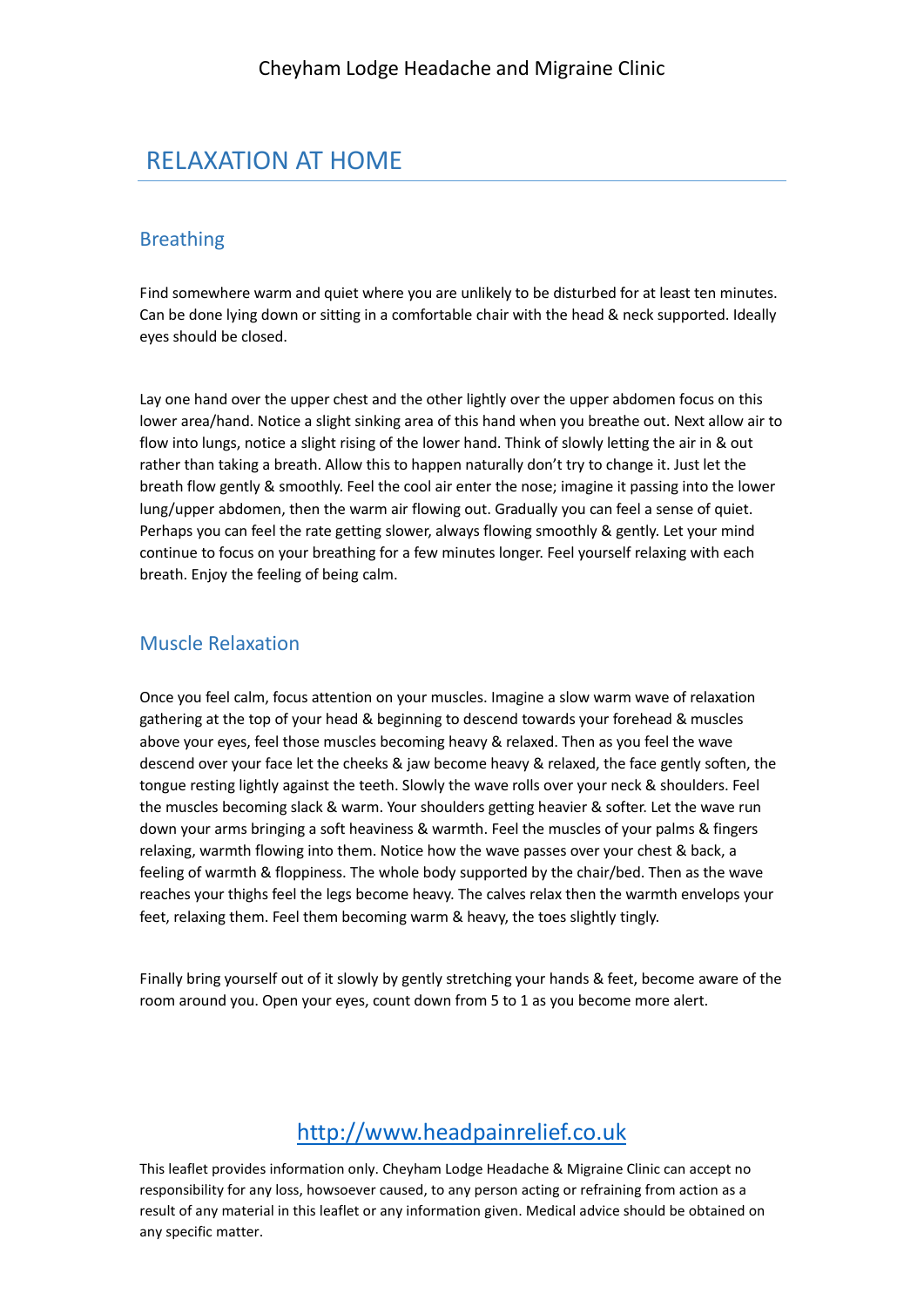## RELAXATION AT HOME

#### Breathing

Find somewhere warm and quiet where you are unlikely to be disturbed for at least ten minutes. Can be done lying down or sitting in a comfortable chair with the head & neck supported. Ideally eyes should be closed.

Lay one hand over the upper chest and the other lightly over the upper abdomen focus on this lower area/hand. Notice a slight sinking area of this hand when you breathe out. Next allow air to flow into lungs, notice a slight rising of the lower hand. Think of slowly letting the air in & out rather than taking a breath. Allow this to happen naturally don't try to change it. Just let the breath flow gently & smoothly. Feel the cool air enter the nose; imagine it passing into the lower lung/upper abdomen, then the warm air flowing out. Gradually you can feel a sense of quiet. Perhaps you can feel the rate getting slower, always flowing smoothly & gently. Let your mind continue to focus on your breathing for a few minutes longer. Feel yourself relaxing with each breath. Enjoy the feeling of being calm.

#### Muscle Relaxation

Once you feel calm, focus attention on your muscles. Imagine a slow warm wave of relaxation gathering at the top of your head & beginning to descend towards your forehead & muscles above your eyes, feel those muscles becoming heavy & relaxed. Then as you feel the wave descend over your face let the cheeks & jaw become heavy & relaxed, the face gently soften, the tongue resting lightly against the teeth. Slowly the wave rolls over your neck & shoulders. Feel the muscles becoming slack & warm. Your shoulders getting heavier & softer. Let the wave run down your arms bringing a soft heaviness & warmth. Feel the muscles of your palms & fingers relaxing, warmth flowing into them. Notice how the wave passes over your chest & back, a feeling of warmth & floppiness. The whole body supported by the chair/bed. Then as the wave reaches your thighs feel the legs become heavy. The calves relax then the warmth envelops your feet, relaxing them. Feel them becoming warm & heavy, the toes slightly tingly.

Finally bring yourself out of it slowly by gently stretching your hands & feet, become aware of the room around you. Open your eyes, count down from 5 to 1 as you become more alert.

### [http://www.headpainrelief.co.uk](http://www.headpainrelief.co.uk/)

This leaflet provides information only. Cheyham Lodge Headache & Migraine Clinic can accept no responsibility for any loss, howsoever caused, to any person acting or refraining from action as a result of any material in this leaflet or any information given. Medical advice should be obtained on any specific matter.